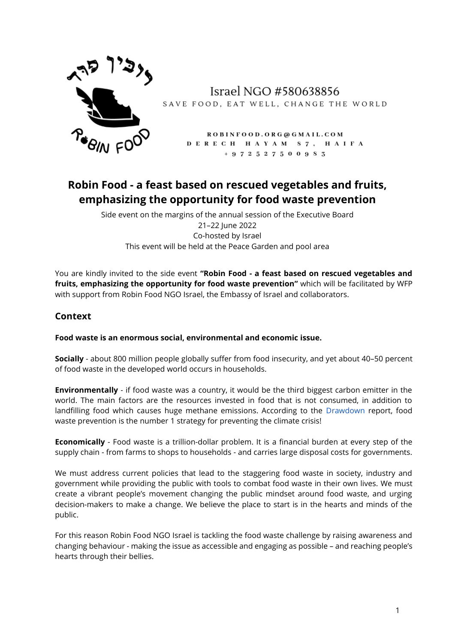

Israel NGO #580638856 SAVE FOOD, EAT WELL, CHANGE THE WORLD

> ROBINFOOD. ORG@GMAIL.COM DERECH HAYAM 87, HAIFA  $+972527500983$

# **Robin Food - a feast based on rescued vegetables and fruits, emphasizing the opportunity for food waste prevention**

Side event on the margins of the annual session of the Executive Board 21–22 June 2022 Co-hosted by Israel This event will be held at the Peace Garden and pool area

You are kindly invited to the side event **"Robin Food - a feast based on rescued vegetables and fruits, emphasizing the opportunity for food waste prevention"** which will be facilitated by WFP with support from Robin Food NGO Israel, the Embassy of Israel and collaborators.

### **Context**

### **Food waste is an enormous social, environmental and economic issue.**

**Socially** - about 800 million people globally suffer from food insecurity, and yet about 40–50 percent of food waste in the developed world occurs in households.

**Environmentally** - if food waste was a country, it would be the third biggest carbon emitter in the world. The main factors are the resources invested in food that is not consumed, in addition to landfilling food which causes huge methane emissions. According to the [Drawdown](https://www.drawdown.org/solutions/table-of-solutions) report, food waste prevention is the number 1 strategy for preventing the climate crisis!

**Economically** - Food waste is a trillion-dollar problem. It is a financial burden at every step of the supply chain - from farms to shops to households - and carries large disposal costs for governments.

We must address current policies that lead to the staggering food waste in society, industry and government while providing the public with tools to combat food waste in their own lives. We must create a vibrant people's movement changing the public mindset around food waste, and urging decision-makers to make a change. We believe the place to start is in the hearts and minds of the public.

For this reason Robin Food NGO Israel is tackling the food waste challenge by raising awareness and changing behaviour - making the issue as accessible and engaging as possible – and reaching people's hearts through their bellies.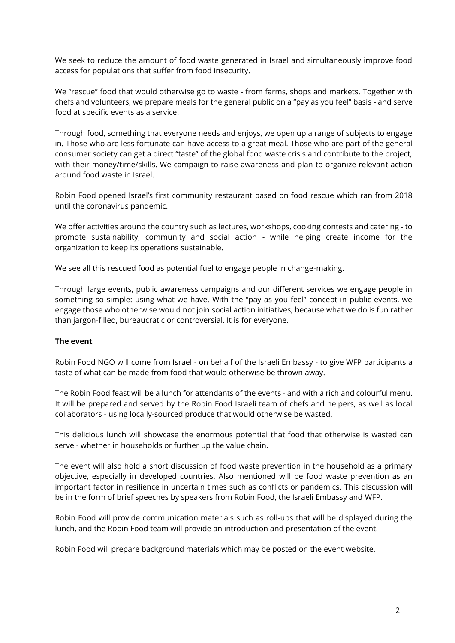We seek to reduce the amount of food waste generated in Israel and simultaneously improve food access for populations that suffer from food insecurity.

We "rescue" food that would otherwise go to waste - from farms, shops and markets. Together with chefs and volunteers, we prepare meals for the general public on a "pay as you feel" basis - and serve food at specific events as a service.

Through food, something that everyone needs and enjoys, we open up a range of subjects to engage in. Those who are less fortunate can have access to a great meal. Those who are part of the general consumer society can get a direct "taste" of the global food waste crisis and contribute to the project, with their money/time/skills. We campaign to raise awareness and plan to organize relevant action around food waste in Israel.

Robin Food opened Israel's first community restaurant based on food rescue which ran from 2018 until the coronavirus pandemic.

We offer activities around the country such as lectures, workshops, cooking contests and catering - to promote sustainability, community and social action - while helping create income for the organization to keep its operations sustainable.

We see all this rescued food as potential fuel to engage people in change-making.

Through large events, public awareness campaigns and our different services we engage people in something so simple: using what we have. With the "pay as you feel" concept in public events, we engage those who otherwise would not join social action initiatives, because what we do is fun rather than jargon-filled, bureaucratic or controversial. It is for everyone.

### **The event**

Robin Food NGO will come from Israel - on behalf of the Israeli Embassy - to give WFP participants a taste of what can be made from food that would otherwise be thrown away.

The Robin Food feast will be a lunch for attendants of the events - and with a rich and colourful menu. It will be prepared and served by the Robin Food Israeli team of chefs and helpers, as well as local collaborators - using locally-sourced produce that would otherwise be wasted.

This delicious lunch will showcase the enormous potential that food that otherwise is wasted can serve - whether in households or further up the value chain.

The event will also hold a short discussion of food waste prevention in the household as a primary objective, especially in developed countries. Also mentioned will be food waste prevention as an important factor in resilience in uncertain times such as conflicts or pandemics. This discussion will be in the form of brief speeches by speakers from Robin Food, the Israeli Embassy and WFP.

Robin Food will provide communication materials such as roll-ups that will be displayed during the lunch, and the Robin Food team will provide an introduction and presentation of the event.

Robin Food will prepare background materials which may be posted on the event website.